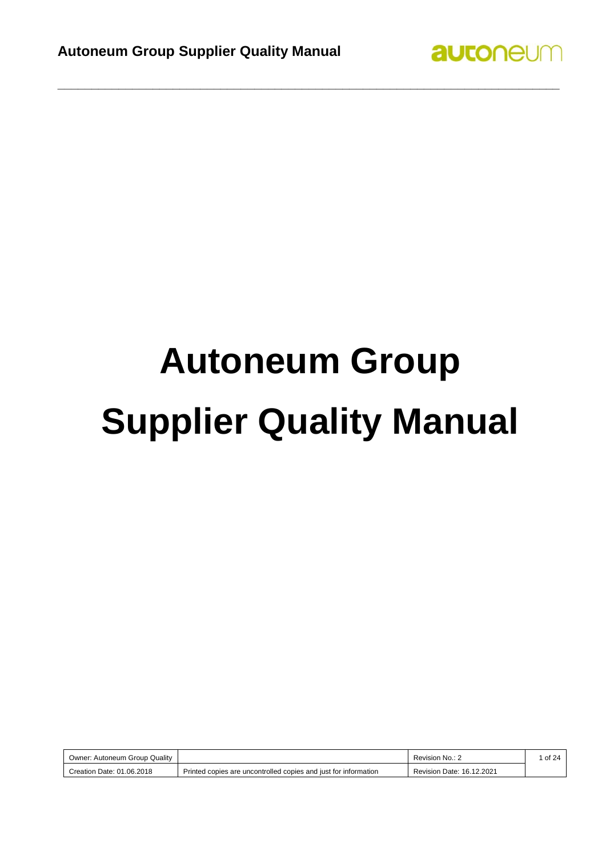

# **Autoneum Group Supplier Quality Manual**

| Owner: Autoneum Group Quality |                                                                 | Revision No.: 2           | of 24 |
|-------------------------------|-----------------------------------------------------------------|---------------------------|-------|
| Creation Date: 01.06.2018     | Printed copies are uncontrolled copies and just for information | Revision Date: 16.12.2021 |       |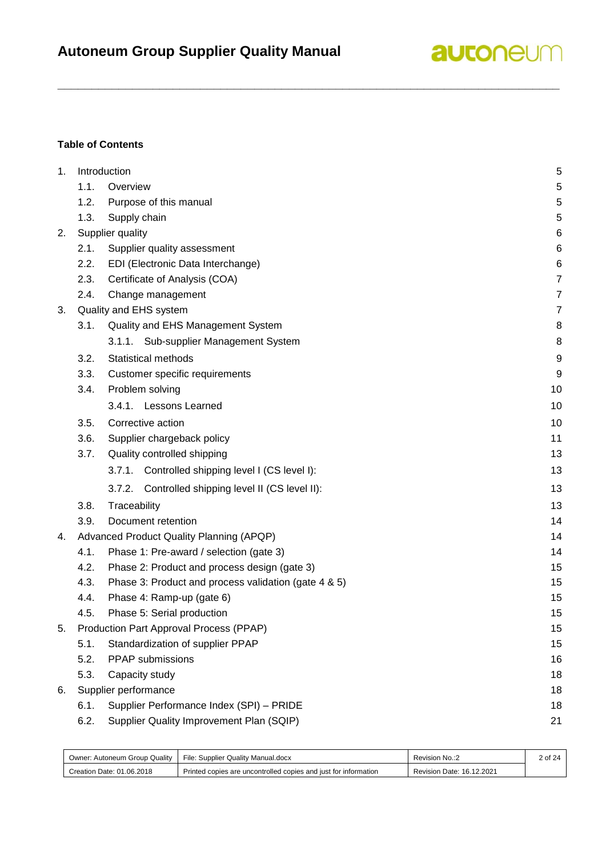

#### **Table of Contents**

| 1. |      | Introduction                                          | 5              |
|----|------|-------------------------------------------------------|----------------|
|    | 1.1. | Overview                                              | $\,$ 5 $\,$    |
|    | 1.2. | Purpose of this manual                                | 5              |
|    | 1.3. | Supply chain                                          | 5              |
| 2. |      | Supplier quality                                      | 6              |
|    | 2.1. | Supplier quality assessment                           | 6              |
|    | 2.2. | EDI (Electronic Data Interchange)                     | 6              |
|    | 2.3. | Certificate of Analysis (COA)                         | $\overline{7}$ |
|    | 2.4. | Change management                                     | $\overline{7}$ |
| 3. |      | Quality and EHS system                                | $\overline{7}$ |
|    | 3.1. | Quality and EHS Management System                     | 8              |
|    |      | 3.1.1. Sub-supplier Management System                 | 8              |
|    | 3.2. | <b>Statistical methods</b>                            | 9              |
|    | 3.3. | Customer specific requirements                        | 9              |
|    | 3.4. | Problem solving                                       | 10             |
|    |      | 3.4.1. Lessons Learned                                | 10             |
|    | 3.5. | Corrective action                                     | 10             |
|    | 3.6. | Supplier chargeback policy                            | 11             |
|    | 3.7. | Quality controlled shipping                           | 13             |
|    |      | 3.7.1. Controlled shipping level I (CS level I):      | 13             |
|    |      | Controlled shipping level II (CS level II):<br>3.7.2. | 13             |
|    | 3.8. | Traceability                                          | 13             |
|    | 3.9. | Document retention                                    | 14             |
| 4. |      | Advanced Product Quality Planning (APQP)              | 14             |
|    | 4.1. | Phase 1: Pre-award / selection (gate 3)               | 14             |
|    | 4.2. | Phase 2: Product and process design (gate 3)          | 15             |
|    | 4.3. | Phase 3: Product and process validation (gate 4 & 5)  | 15             |
|    | 4.4. | Phase 4: Ramp-up (gate 6)                             | 15             |
|    | 4.5. | Phase 5: Serial production                            | 15             |
| 5. |      | Production Part Approval Process (PPAP)               | 15             |
|    | 5.1. | Standardization of supplier PPAP                      | 15             |
|    | 5.2. | PPAP submissions                                      | 16             |
|    | 5.3. | Capacity study                                        | 18             |
| 6. |      | Supplier performance                                  | 18             |
|    | 6.1. | Supplier Performance Index (SPI) - PRIDE              | 18             |
|    | 6.2. | Supplier Quality Improvement Plan (SQIP)              | 21             |

| Owner: Autoneum Group Quality | File: Supplier Quality Manual.docx                              | Revision No.:2            |  |
|-------------------------------|-----------------------------------------------------------------|---------------------------|--|
| Creation Date: 01.06.2018     | Printed copies are uncontrolled copies and just for information | Revision Date: 16.12.2021 |  |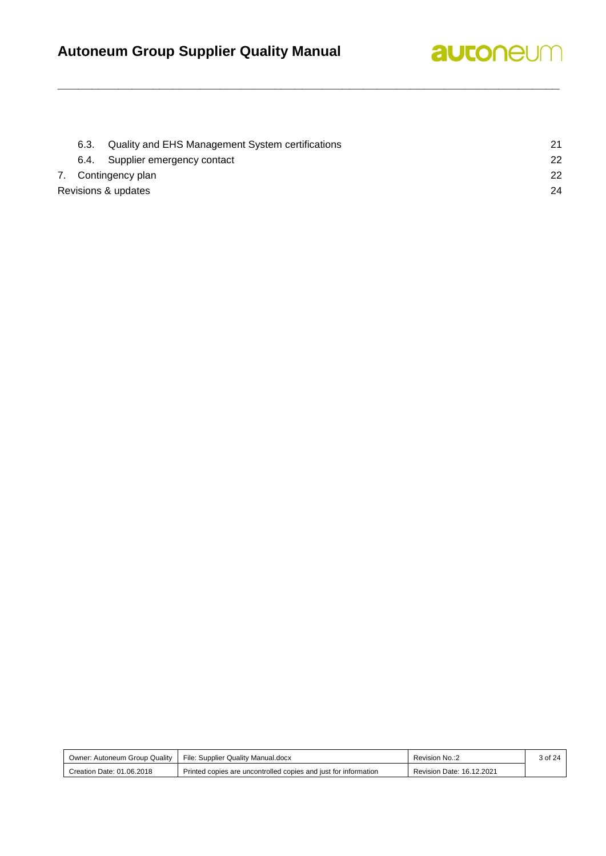## **Autoneum Group Supplier Quality Manual**



| 6.3. | Quality and EHS Management System certifications | 21 |
|------|--------------------------------------------------|----|
|      | 6.4. Supplier emergency contact                  | 22 |
|      | 7. Contingency plan                              | 22 |
|      | Revisions & updates                              | 24 |

| : Autoneum Group Quality<br>Owner: | File: Supplier Quality Manual.docx                              | Revision No.:2            | 3 of 24 |
|------------------------------------|-----------------------------------------------------------------|---------------------------|---------|
| Creation Date: 01.06.2018          | Printed copies are uncontrolled copies and just for information | Revision Date: 16.12.2021 |         |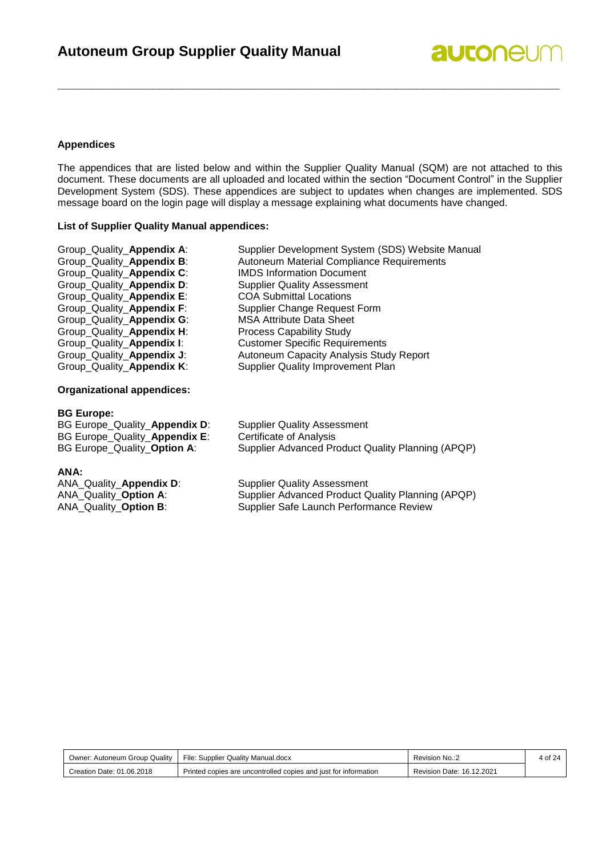#### **Appendices**

The appendices that are listed below and within the Supplier Quality Manual (SQM) are not attached to this document. These documents are all uploaded and located within the section "Document Control" in the Supplier Development System (SDS). These appendices are subject to updates when changes are implemented. SDS message board on the login page will display a message explaining what documents have changed.

**\_\_\_\_\_\_\_\_\_\_\_\_\_\_\_\_\_\_\_\_\_\_\_\_\_\_\_\_\_\_\_\_\_\_\_\_\_\_\_\_\_\_\_\_\_\_\_\_\_\_\_\_\_\_\_\_\_\_\_\_\_\_\_\_\_\_\_\_\_\_\_\_\_\_**

#### **List of Supplier Quality Manual appendices:**

| Group_Quality_Appendix A: | Supplier Development System (SDS) Website Manual |
|---------------------------|--------------------------------------------------|
| Group_Quality_Appendix B: | Autoneum Material Compliance Requirements        |
| Group_Quality_Appendix C: | <b>IMDS Information Document</b>                 |
| Group_Quality_Appendix D: | <b>Supplier Quality Assessment</b>               |
| Group_Quality_Appendix E: | <b>COA Submittal Locations</b>                   |
| Group_Quality_Appendix F: | <b>Supplier Change Request Form</b>              |
| Group_Quality_Appendix G: | <b>MSA Attribute Data Sheet</b>                  |
| Group_Quality_Appendix H: | <b>Process Capability Study</b>                  |
| Group_Quality_Appendix I: | <b>Customer Specific Requirements</b>            |
| Group_Quality_Appendix J: | Autoneum Capacity Analysis Study Report          |
| Group_Quality_Appendix K: | <b>Supplier Quality Improvement Plan</b>         |
|                           |                                                  |

#### **Organizational appendices:**

#### **BG Europe:**

BG Europe\_Quality\_**Appendix D**: Supplier Quality Assessment BG Europe\_Quality\_**Appendix E**: Certificate of Analysis

BG Europe\_Quality\_**Option A**: Supplier Advanced Product Quality Planning (APQP)

ANA:<br>ANA\_Quality\_Appendix D: ANA\_Quality\_Appendix D: Supplier Quality Assessment<br>ANA Quality Option A: Supplier Advanced Product Q

Supplier Advanced Product Quality Planning (APQP) ANA Quality Option B: Supplier Safe Launch Performance Review

| File: Supplier Quality Manual.docx<br>Owner: Autoneum Group Quality |                                                                 | Revision No.:2            | 4 of 24 |
|---------------------------------------------------------------------|-----------------------------------------------------------------|---------------------------|---------|
| Creation Date: 01.06.2018                                           | Printed copies are uncontrolled copies and just for information | Revision Date: 16.12.2021 |         |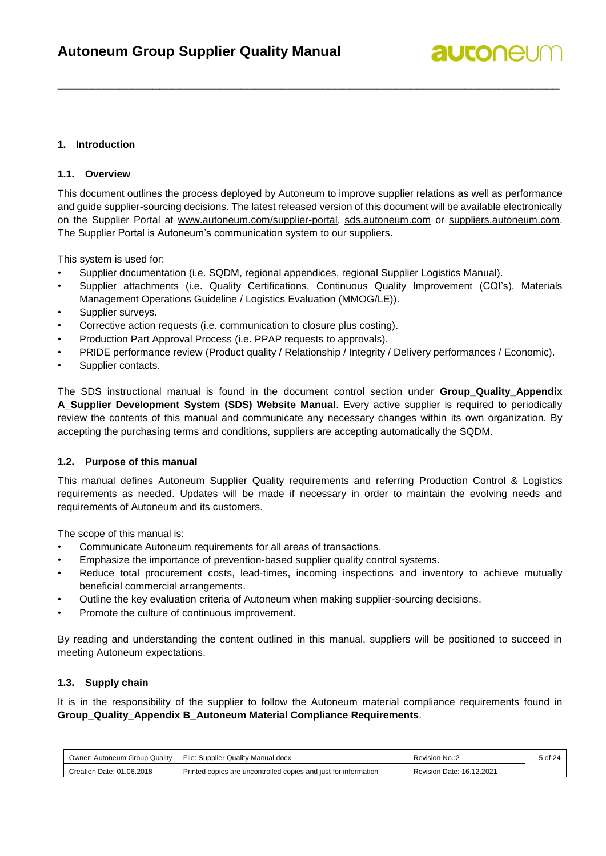#### <span id="page-4-0"></span>**1. Introduction**

#### <span id="page-4-1"></span>**1.1. Overview**

This document outlines the process deployed by Autoneum to improve supplier relations as well as performance and guide supplier-sourcing decisions. The latest released version of this document will be available electronically on the Supplier Portal at [www.autoneum.com/supplier-portal,](file:///C:/Users/thutter/AppData/Local/Temp/notesE97E9E/www.autoneum.com/supplier-portal) [sds.autoneum.com](file:///C:/Users/thutter/AppData/Local/Temp/notesE97E9E/sds.autoneum.com) or [suppliers.autoneum.com.](file:///C:/Users/thutter/AppData/Local/Temp/notesE97E9E/suppliers.autoneum.com) The Supplier Portal is Autoneum's communication system to our suppliers.

**\_\_\_\_\_\_\_\_\_\_\_\_\_\_\_\_\_\_\_\_\_\_\_\_\_\_\_\_\_\_\_\_\_\_\_\_\_\_\_\_\_\_\_\_\_\_\_\_\_\_\_\_\_\_\_\_\_\_\_\_\_\_\_\_\_\_\_\_\_\_\_\_\_\_**

This system is used for:

- Supplier documentation (i.e. SQDM, regional appendices, regional Supplier Logistics Manual).
- Supplier attachments (i.e. Quality Certifications, Continuous Quality Improvement (CQI's), Materials Management Operations Guideline / Logistics Evaluation (MMOG/LE)).
- Supplier surveys.
- Corrective action requests (i.e. communication to closure plus costing).
- Production Part Approval Process (i.e. PPAP requests to approvals).
- PRIDE performance review (Product quality / Relationship / Integrity / Delivery performances / Economic).
- Supplier contacts.

The SDS instructional manual is found in the document control section under **Group\_Quality\_Appendix A\_Supplier Development System (SDS) Website Manual**. Every active supplier is required to periodically review the contents of this manual and communicate any necessary changes within its own organization. By accepting the purchasing terms and conditions, suppliers are accepting automatically the SQDM.

#### <span id="page-4-2"></span>**1.2. Purpose of this manual**

This manual defines Autoneum Supplier Quality requirements and referring Production Control & Logistics requirements as needed. Updates will be made if necessary in order to maintain the evolving needs and requirements of Autoneum and its customers.

The scope of this manual is:

- Communicate Autoneum requirements for all areas of transactions.
- Emphasize the importance of prevention-based supplier quality control systems.
- Reduce total procurement costs, lead-times, incoming inspections and inventory to achieve mutually beneficial commercial arrangements.
- Outline the key evaluation criteria of Autoneum when making supplier-sourcing decisions.
- Promote the culture of continuous improvement.

By reading and understanding the content outlined in this manual, suppliers will be positioned to succeed in meeting Autoneum expectations.

#### <span id="page-4-3"></span>**1.3. Supply chain**

It is in the responsibility of the supplier to follow the Autoneum material compliance requirements found in **Group\_Quality\_Appendix B\_Autoneum Material Compliance Requirements**.

| Owner: Autoneum Group Quality | File: Supplier Quality Manual.docx                              | ⊾:.Revision No            | 5 of 24 |
|-------------------------------|-----------------------------------------------------------------|---------------------------|---------|
| Creation Date: 01.06.2018     | Printed copies are uncontrolled copies and just for information | Revision Date: 16.12.2021 |         |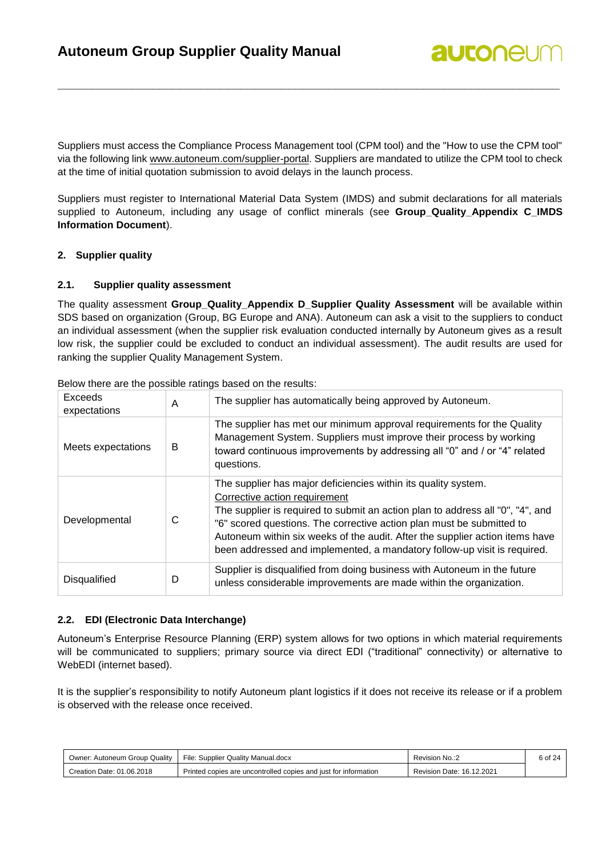Suppliers must access the Compliance Process Management tool (CPM tool) and the "How to use the CPM tool" via the following link [www.autoneum.com/supplier-portal.](file:///C:/Users/thutter/AppData/Local/Temp/notesE97E9E/www.autoneum.com/supplier-portal) Suppliers are mandated to utilize the CPM tool to check at the time of initial quotation submission to avoid delays in the launch process.

**\_\_\_\_\_\_\_\_\_\_\_\_\_\_\_\_\_\_\_\_\_\_\_\_\_\_\_\_\_\_\_\_\_\_\_\_\_\_\_\_\_\_\_\_\_\_\_\_\_\_\_\_\_\_\_\_\_\_\_\_\_\_\_\_\_\_\_\_\_\_\_\_\_\_**

**autonel** 

Suppliers must register to International Material Data System (IMDS) and submit declarations for all materials supplied to Autoneum, including any usage of conflict minerals (see **Group\_Quality\_Appendix C\_IMDS Information Document**).

#### <span id="page-5-0"></span>**2. Supplier quality**

#### <span id="page-5-1"></span>**2.1. Supplier quality assessment**

The quality assessment **Group\_Quality\_Appendix D\_Supplier Quality Assessment** will be available within SDS based on organization (Group, BG Europe and ANA). Autoneum can ask a visit to the suppliers to conduct an individual assessment (when the supplier risk evaluation conducted internally by Autoneum gives as a result low risk, the supplier could be excluded to conduct an individual assessment). The audit results are used for ranking the supplier Quality Management System.

| Exceeds<br>expectations | A | The supplier has automatically being approved by Autoneum.                                                                                                                                                                                                                                                                                                                                                             |
|-------------------------|---|------------------------------------------------------------------------------------------------------------------------------------------------------------------------------------------------------------------------------------------------------------------------------------------------------------------------------------------------------------------------------------------------------------------------|
| Meets expectations      | B | The supplier has met our minimum approval requirements for the Quality<br>Management System. Suppliers must improve their process by working<br>toward continuous improvements by addressing all "0" and / or "4" related<br>questions.                                                                                                                                                                                |
| Developmental           | С | The supplier has major deficiencies within its quality system.<br>Corrective action requirement<br>The supplier is required to submit an action plan to address all "0", "4", and<br>"6" scored questions. The corrective action plan must be submitted to<br>Autoneum within six weeks of the audit. After the supplier action items have<br>been addressed and implemented, a mandatory follow-up visit is required. |
| <b>Disqualified</b>     | D | Supplier is disqualified from doing business with Autoneum in the future<br>unless considerable improvements are made within the organization.                                                                                                                                                                                                                                                                         |

Below there are the possible ratings based on the results:

#### <span id="page-5-2"></span>**2.2. EDI (Electronic Data Interchange)**

Autoneum's Enterprise Resource Planning (ERP) system allows for two options in which material requirements will be communicated to suppliers; primary source via direct EDI ("traditional" connectivity) or alternative to WebEDI (internet based).

It is the supplier's responsibility to notify Autoneum plant logistics if it does not receive its release or if a problem is observed with the release once received.

| Owner: Autoneum Group Quality | File: Supplier Quality Manual.docx<br>Revision No.:2            |                           | 6 of 24 |
|-------------------------------|-----------------------------------------------------------------|---------------------------|---------|
| Creation Date: 01.06.2018     | Printed copies are uncontrolled copies and just for information | Revision Date: 16.12.2021 |         |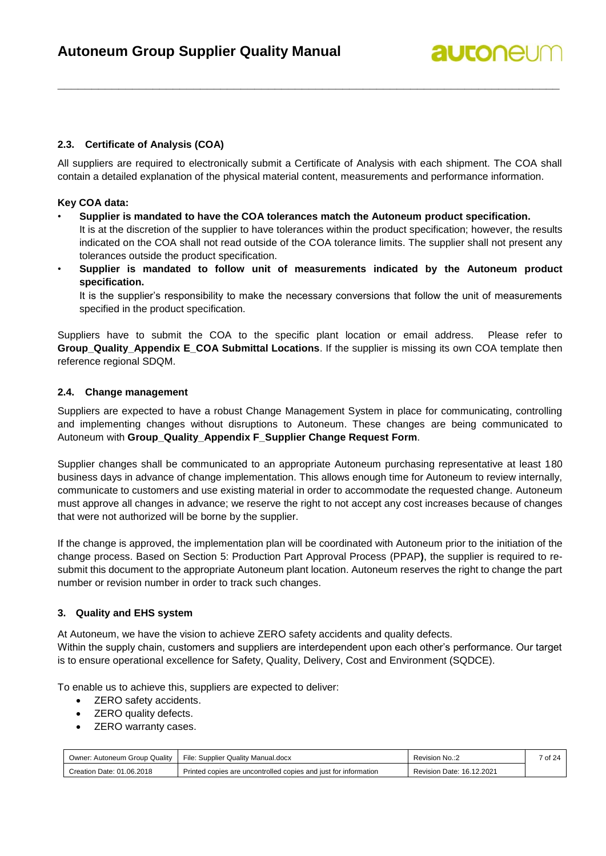#### <span id="page-6-0"></span>**2.3. Certificate of Analysis (COA)**

All suppliers are required to electronically submit a Certificate of Analysis with each shipment. The COA shall contain a detailed explanation of the physical material content, measurements and performance information.

**\_\_\_\_\_\_\_\_\_\_\_\_\_\_\_\_\_\_\_\_\_\_\_\_\_\_\_\_\_\_\_\_\_\_\_\_\_\_\_\_\_\_\_\_\_\_\_\_\_\_\_\_\_\_\_\_\_\_\_\_\_\_\_\_\_\_\_\_\_\_\_\_\_\_**

#### **Key COA data:**

- **Supplier is mandated to have the COA tolerances match the Autoneum product specification.** It is at the discretion of the supplier to have tolerances within the product specification; however, the results indicated on the COA shall not read outside of the COA tolerance limits. The supplier shall not present any tolerances outside the product specification.
- **Supplier is mandated to follow unit of measurements indicated by the Autoneum product specification.**

It is the supplier's responsibility to make the necessary conversions that follow the unit of measurements specified in the product specification.

Suppliers have to submit the COA to the specific plant location or email address. Please refer to **Group\_Quality\_Appendix E\_COA Submittal Locations**. If the supplier is missing its own COA template then reference regional SDQM.

#### <span id="page-6-1"></span>**2.4. Change management**

Suppliers are expected to have a robust Change Management System in place for communicating, controlling and implementing changes without disruptions to Autoneum. These changes are being communicated to Autoneum with **Group\_Quality\_Appendix F\_Supplier Change Request Form**.

Supplier changes shall be communicated to an appropriate Autoneum purchasing representative at least 180 business days in advance of change implementation. This allows enough time for Autoneum to review internally, communicate to customers and use existing material in order to accommodate the requested change. Autoneum must approve all changes in advance; we reserve the right to not accept any cost increases because of changes that were not authorized will be borne by the supplier.

If the change is approved, the implementation plan will be coordinated with Autoneum prior to the initiation of the change process. Based on Section 5: Production Part Approval Process (PPAP**)**, the supplier is required to resubmit this document to the appropriate Autoneum plant location. Autoneum reserves the right to change the part number or revision number in order to track such changes.

#### <span id="page-6-2"></span>**3. Quality and EHS system**

At Autoneum, we have the vision to achieve ZERO safety accidents and quality defects.

Within the supply chain, customers and suppliers are interdependent upon each other's performance. Our target is to ensure operational excellence for Safety, Quality, Delivery, Cost and Environment (SQDCE).

To enable us to achieve this, suppliers are expected to deliver:

- **ZERO** safety accidents.
- **ZERO** quality defects.
- **ZERO** warranty cases.

| : Autoneum Group Quality<br>⊃wner: | File: Supplier Quality Manual.docx                              | Revision No.:2            | of 24 |
|------------------------------------|-----------------------------------------------------------------|---------------------------|-------|
| Creation Date: 01.06.2018          | Printed copies are uncontrolled copies and just for information | Revision Date: 16.12.2021 |       |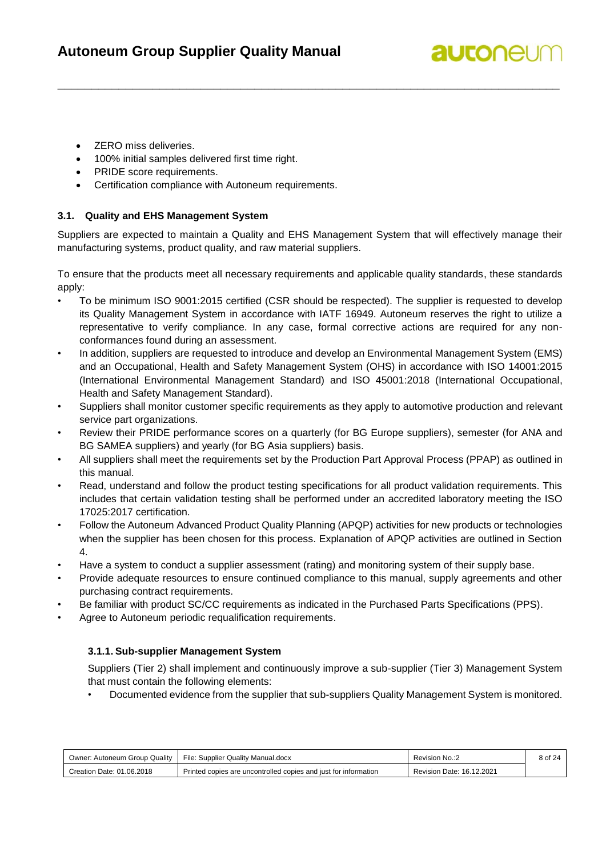## **autonel**

- **ZERO** miss deliveries.
- 100% initial samples delivered first time right.
- PRIDE score requirements.
- Certification compliance with Autoneum requirements.

#### <span id="page-7-0"></span>**3.1. Quality and EHS Management System**

Suppliers are expected to maintain a Quality and EHS Management System that will effectively manage their manufacturing systems, product quality, and raw material suppliers.

**\_\_\_\_\_\_\_\_\_\_\_\_\_\_\_\_\_\_\_\_\_\_\_\_\_\_\_\_\_\_\_\_\_\_\_\_\_\_\_\_\_\_\_\_\_\_\_\_\_\_\_\_\_\_\_\_\_\_\_\_\_\_\_\_\_\_\_\_\_\_\_\_\_\_**

To ensure that the products meet all necessary requirements and applicable quality standards, these standards apply:

- To be minimum ISO 9001:2015 certified (CSR should be respected). The supplier is requested to develop its Quality Management System in accordance with IATF 16949. Autoneum reserves the right to utilize a representative to verify compliance. In any case, formal corrective actions are required for any nonconformances found during an assessment.
- In addition, suppliers are requested to introduce and develop an Environmental Management System (EMS) and an Occupational, Health and Safety Management System (OHS) in accordance with ISO 14001:2015 (International Environmental Management Standard) and ISO 45001:2018 (International Occupational, Health and Safety Management Standard).
- Suppliers shall monitor customer specific requirements as they apply to automotive production and relevant service part organizations.
- Review their PRIDE performance scores on a quarterly (for BG Europe suppliers), semester (for ANA and BG SAMEA suppliers) and yearly (for BG Asia suppliers) basis.
- All suppliers shall meet the requirements set by the Production Part Approval Process (PPAP) as outlined in this manual.
- Read, understand and follow the product testing specifications for all product validation requirements. This includes that certain validation testing shall be performed under an accredited laboratory meeting the ISO 17025:2017 certification.
- Follow the Autoneum Advanced Product Quality Planning (APQP) activities for new products or technologies when the supplier has been chosen for this process. Explanation of APQP activities are outlined in Section 4.
- Have a system to conduct a supplier assessment (rating) and monitoring system of their supply base.
- Provide adequate resources to ensure continued compliance to this manual, supply agreements and other purchasing contract requirements.
- Be familiar with product SC/CC requirements as indicated in the Purchased Parts Specifications (PPS).
- <span id="page-7-1"></span>Agree to Autoneum periodic requalification requirements.

### **3.1.1. Sub-supplier Management System**

Suppliers (Tier 2) shall implement and continuously improve a sub-supplier (Tier 3) Management System that must contain the following elements:

• Documented evidence from the supplier that sub-suppliers Quality Management System is monitored.

| Owner: Autoneum Group Quality | File: Supplier Quality Manual.docx                              | Revision No.:2            | 8 of 24 |
|-------------------------------|-----------------------------------------------------------------|---------------------------|---------|
| Creation Date: 01.06.2018     | Printed copies are uncontrolled copies and just for information | Revision Date: 16.12.2021 |         |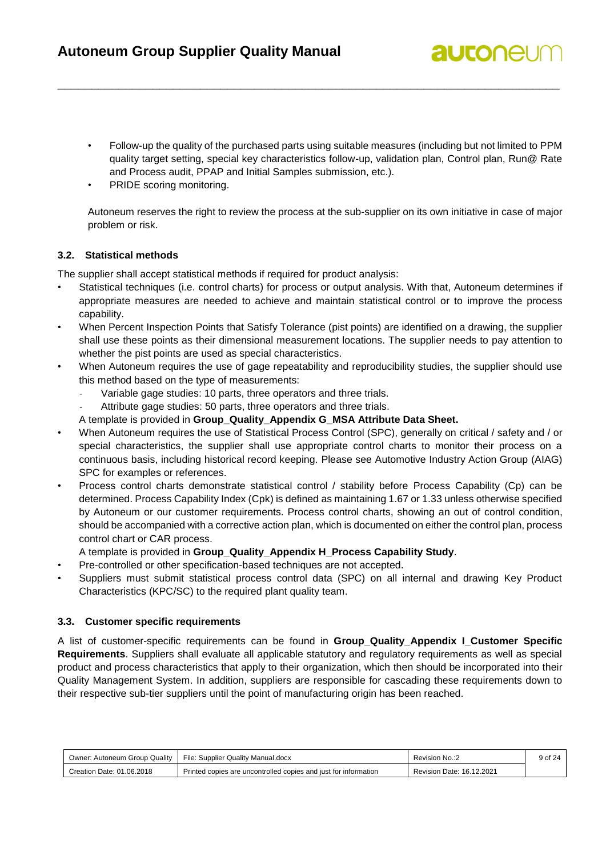• Follow-up the quality of the purchased parts using suitable measures (including but not limited to PPM quality target setting, special key characteristics follow-up, validation plan, Control plan, Run@ Rate and Process audit, PPAP and Initial Samples submission, etc.).

**autonel** 

**\_\_\_\_\_\_\_\_\_\_\_\_\_\_\_\_\_\_\_\_\_\_\_\_\_\_\_\_\_\_\_\_\_\_\_\_\_\_\_\_\_\_\_\_\_\_\_\_\_\_\_\_\_\_\_\_\_\_\_\_\_\_\_\_\_\_\_\_\_\_\_\_\_\_**

PRIDE scoring monitoring.

Autoneum reserves the right to review the process at the sub-supplier on its own initiative in case of major problem or risk.

#### <span id="page-8-0"></span>**3.2. Statistical methods**

The supplier shall accept statistical methods if required for product analysis:

- Statistical techniques (i.e. control charts) for process or output analysis. With that, Autoneum determines if appropriate measures are needed to achieve and maintain statistical control or to improve the process capability.
- When Percent Inspection Points that Satisfy Tolerance (pist points) are identified on a drawing, the supplier shall use these points as their dimensional measurement locations. The supplier needs to pay attention to whether the pist points are used as special characteristics.
- When Autoneum requires the use of gage repeatability and reproducibility studies, the supplier should use this method based on the type of measurements:
	- Variable gage studies: 10 parts, three operators and three trials.
	- Attribute gage studies: 50 parts, three operators and three trials.
	- A template is provided in **Group\_Quality\_Appendix G\_MSA Attribute Data Sheet.**
- When Autoneum requires the use of Statistical Process Control (SPC), generally on critical / safety and / or special characteristics, the supplier shall use appropriate control charts to monitor their process on a continuous basis, including historical record keeping. Please see Automotive Industry Action Group (AIAG) SPC for examples or references.
- Process control charts demonstrate statistical control / stability before Process Capability (Cp) can be determined. Process Capability Index (Cpk) is defined as maintaining 1.67 or 1.33 unless otherwise specified by Autoneum or our customer requirements. Process control charts, showing an out of control condition, should be accompanied with a corrective action plan, which is documented on either the control plan, process control chart or CAR process.
	- A template is provided in **Group\_Quality\_Appendix H\_Process Capability Study**.
- Pre-controlled or other specification-based techniques are not accepted.
- Suppliers must submit statistical process control data (SPC) on all internal and drawing Key Product Characteristics (KPC/SC) to the required plant quality team.

#### <span id="page-8-1"></span>**3.3. Customer specific requirements**

A list of customer-specific requirements can be found in **Group\_Quality\_Appendix I\_Customer Specific Requirements**. Suppliers shall evaluate all applicable statutory and regulatory requirements as well as special product and process characteristics that apply to their organization, which then should be incorporated into their Quality Management System. In addition, suppliers are responsible for cascading these requirements down to their respective sub-tier suppliers until the point of manufacturing origin has been reached.

| Owner: Autoneum Group Quality | File: Supplier Quality Manual.docx                              | Revision No.:2            | 9 of 24 |
|-------------------------------|-----------------------------------------------------------------|---------------------------|---------|
| Creation Date: 01.06.2018     | Printed copies are uncontrolled copies and just for information | Revision Date: 16.12.2021 |         |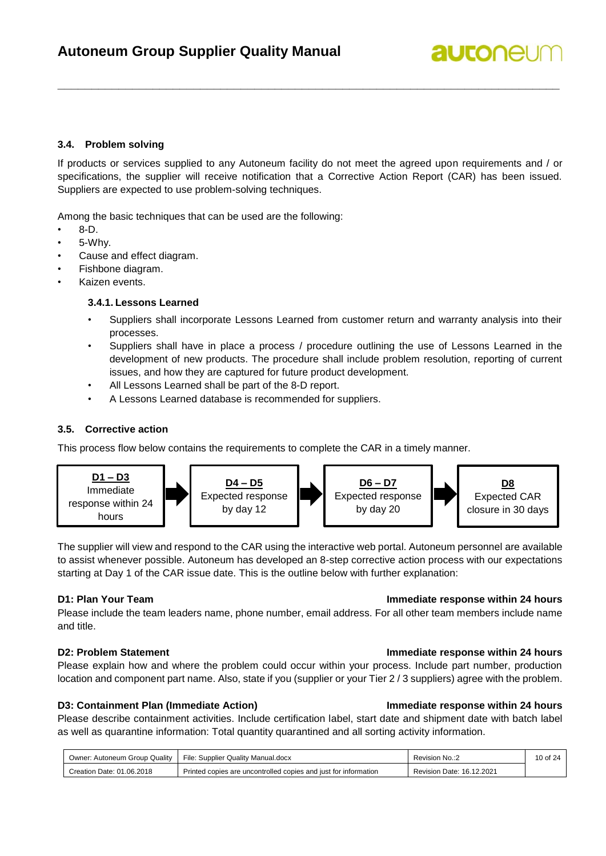#### <span id="page-9-0"></span>**3.4. Problem solving**

If products or services supplied to any Autoneum facility do not meet the agreed upon requirements and / or specifications, the supplier will receive notification that a Corrective Action Report (CAR) has been issued. Suppliers are expected to use problem-solving techniques.

**\_\_\_\_\_\_\_\_\_\_\_\_\_\_\_\_\_\_\_\_\_\_\_\_\_\_\_\_\_\_\_\_\_\_\_\_\_\_\_\_\_\_\_\_\_\_\_\_\_\_\_\_\_\_\_\_\_\_\_\_\_\_\_\_\_\_\_\_\_\_\_\_\_\_**

Among the basic techniques that can be used are the following:

- 8-D.
- 5-Whv.
- Cause and effect diagram.
- Fishbone diagram.
- <span id="page-9-1"></span>Kaizen events.

#### **3.4.1. Lessons Learned**

- Suppliers shall incorporate Lessons Learned from customer return and warranty analysis into their processes.
- Suppliers shall have in place a process / procedure outlining the use of Lessons Learned in the development of new products. The procedure shall include problem resolution, reporting of current issues, and how they are captured for future product development.
- All Lessons Learned shall be part of the 8-D report.
- A Lessons Learned database is recommended for suppliers.

#### <span id="page-9-2"></span>**3.5. Corrective action**

This process flow below contains the requirements to complete the CAR in a timely manner.



The supplier will view and respond to the CAR using the interactive web portal. Autoneum personnel are available to assist whenever possible. Autoneum has developed an 8-step corrective action process with our expectations starting at Day 1 of the CAR issue date. This is the outline below with further explanation:

Please include the team leaders name, phone number, email address. For all other team members include name and title.

#### **D2: Problem Statement Immediate response within 24 hours**

Please explain how and where the problem could occur within your process. Include part number, production location and component part name. Also, state if you (supplier or your Tier 2/3 suppliers) agree with the problem.

#### **D3: Containment Plan (Immediate Action) Immediate response within 24 hours**

Please describe containment activities. Include certification label, start date and shipment date with batch label as well as quarantine information: Total quantity quarantined and all sorting activity information.

| Owner: Autoneum Group Quality | File: Supplier Quality Manual.docx                              | Revision No.:2            |  |
|-------------------------------|-----------------------------------------------------------------|---------------------------|--|
| Creation Date: 01.06.2018     | Printed copies are uncontrolled copies and just for information | Revision Date: 16.12.2021 |  |

#### **D1: Plan Your Team Immediate response within 24 hours**

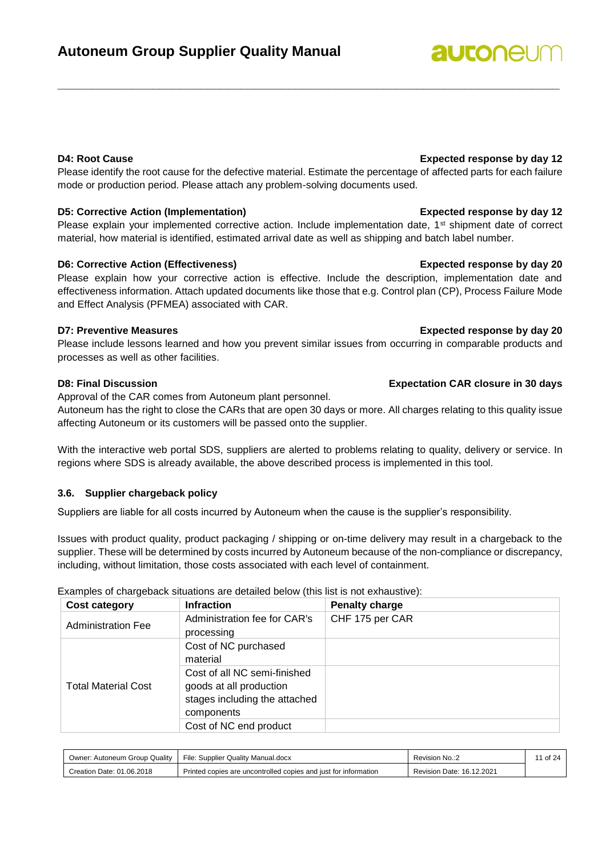Please identify the root cause for the defective material. Estimate the percentage of affected parts for each failure mode or production period. Please attach any problem-solving documents used.

**\_\_\_\_\_\_\_\_\_\_\_\_\_\_\_\_\_\_\_\_\_\_\_\_\_\_\_\_\_\_\_\_\_\_\_\_\_\_\_\_\_\_\_\_\_\_\_\_\_\_\_\_\_\_\_\_\_\_\_\_\_\_\_\_\_\_\_\_\_\_\_\_\_\_**

### **D5: Corrective Action (Implementation) Expected response by day 12**

Please explain your implemented corrective action. Include implementation date, 1<sup>st</sup> shipment date of correct material, how material is identified, estimated arrival date as well as shipping and batch label number.

### **D6: Corrective Action (Effectiveness) Expected response by day 20**

Please explain how your corrective action is effective. Include the description, implementation date and effectiveness information. Attach updated documents like those that e.g. Control plan (CP), Process Failure Mode and Effect Analysis (PFMEA) associated with CAR.

Please include lessons learned and how you prevent similar issues from occurring in comparable products and processes as well as other facilities.

Approval of the CAR comes from Autoneum plant personnel.

Autoneum has the right to close the CARs that are open 30 days or more. All charges relating to this quality issue affecting Autoneum or its customers will be passed onto the supplier.

With the interactive web portal SDS, suppliers are alerted to problems relating to quality, delivery or service. In regions where SDS is already available, the above described process is implemented in this tool.

### <span id="page-10-0"></span>**3.6. Supplier chargeback policy**

Suppliers are liable for all costs incurred by Autoneum when the cause is the supplier's responsibility.

Issues with product quality, product packaging / shipping or on-time delivery may result in a chargeback to the supplier. These will be determined by costs incurred by Autoneum because of the non-compliance or discrepancy, including, without limitation, those costs associated with each level of containment.

**Cost category**  Infraction **Penalty charge** Administration Fee Administration fee for CAR's processing CHF 175 per CAR Total Material Cost Cost of NC purchased material Cost of all NC semi-finished goods at all production stages including the attached components Cost of NC end product

Examples of chargeback situations are detailed below (this list is not exhaustive):

| : Autoneum Group Quality<br>Jwner: | File: Supplier C<br>r Quality Manual.docx                       | Revision No.:2            | $\cdot$ of $2^{\circ}$ |
|------------------------------------|-----------------------------------------------------------------|---------------------------|------------------------|
| Creation Date: 01.06.2018          | Printed copies are uncontrolled copies and just for information | Revision Date: 16.12.2021 |                        |

### **D4: Root Cause Expected response by day 12**

#### **D7: Preventive Measures Expected response by day 20**

### **D8: Final Discussion Expectation CAR closure in 30 days**

## **autonel**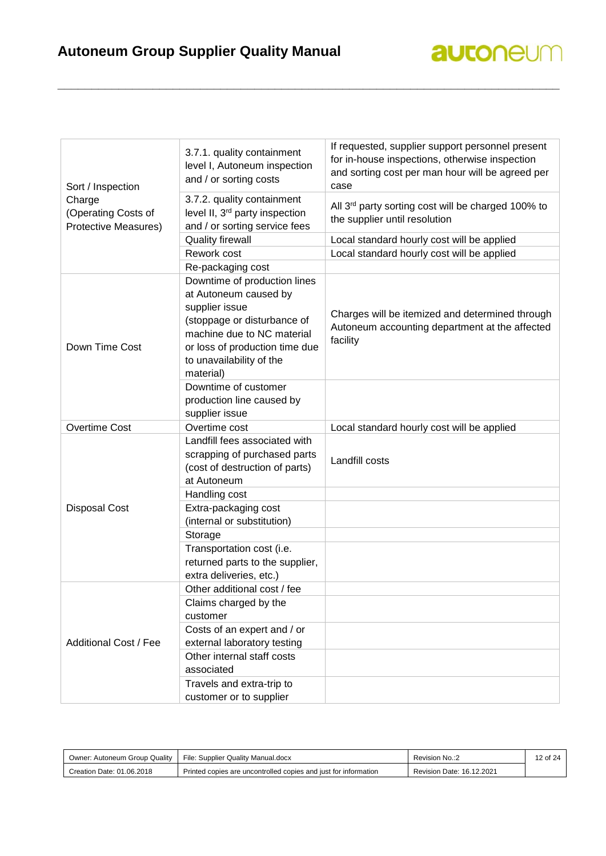| Sort / Inspection                                     | 3.7.1. quality containment<br>level I, Autoneum inspection<br>and / or sorting costs                                                                                                                            | If requested, supplier support personnel present<br>for in-house inspections, otherwise inspection<br>and sorting cost per man hour will be agreed per<br>case |
|-------------------------------------------------------|-----------------------------------------------------------------------------------------------------------------------------------------------------------------------------------------------------------------|----------------------------------------------------------------------------------------------------------------------------------------------------------------|
| Charge<br>(Operating Costs of<br>Protective Measures) | 3.7.2. quality containment<br>level II, 3 <sup>rd</sup> party inspection<br>and / or sorting service fees                                                                                                       | All 3rd party sorting cost will be charged 100% to<br>the supplier until resolution                                                                            |
|                                                       | <b>Quality firewall</b>                                                                                                                                                                                         | Local standard hourly cost will be applied                                                                                                                     |
|                                                       | Rework cost                                                                                                                                                                                                     | Local standard hourly cost will be applied                                                                                                                     |
|                                                       | Re-packaging cost                                                                                                                                                                                               |                                                                                                                                                                |
| Down Time Cost                                        | Downtime of production lines<br>at Autoneum caused by<br>supplier issue<br>(stoppage or disturbance of<br>machine due to NC material<br>or loss of production time due<br>to unavailability of the<br>material) | Charges will be itemized and determined through<br>Autoneum accounting department at the affected<br>facility                                                  |
|                                                       | Downtime of customer<br>production line caused by<br>supplier issue                                                                                                                                             |                                                                                                                                                                |
| <b>Overtime Cost</b>                                  | Overtime cost                                                                                                                                                                                                   | Local standard hourly cost will be applied                                                                                                                     |
|                                                       | Landfill fees associated with<br>scrapping of purchased parts<br>(cost of destruction of parts)<br>at Autoneum                                                                                                  | Landfill costs                                                                                                                                                 |
|                                                       | Handling cost                                                                                                                                                                                                   |                                                                                                                                                                |
| <b>Disposal Cost</b>                                  | Extra-packaging cost<br>(internal or substitution)                                                                                                                                                              |                                                                                                                                                                |
|                                                       | Storage                                                                                                                                                                                                         |                                                                                                                                                                |
|                                                       | Transportation cost (i.e.<br>returned parts to the supplier,<br>extra deliveries, etc.)                                                                                                                         |                                                                                                                                                                |
|                                                       | Other additional cost / fee                                                                                                                                                                                     |                                                                                                                                                                |
|                                                       | Claims charged by the<br>customer                                                                                                                                                                               |                                                                                                                                                                |
| <b>Additional Cost / Fee</b>                          | Costs of an expert and / or<br>external laboratory testing                                                                                                                                                      |                                                                                                                                                                |
|                                                       | Other internal staff costs<br>associated                                                                                                                                                                        |                                                                                                                                                                |
|                                                       | Travels and extra-trip to<br>customer or to supplier                                                                                                                                                            |                                                                                                                                                                |

| Owner: Autoneum Group Quality | File: Supplier Quality Manual.docx                              | Revision No.:2            | 12 of 24 |
|-------------------------------|-----------------------------------------------------------------|---------------------------|----------|
| Creation Date: 01.06.2018     | Printed copies are uncontrolled copies and just for information | Revision Date: 16.12.2021 |          |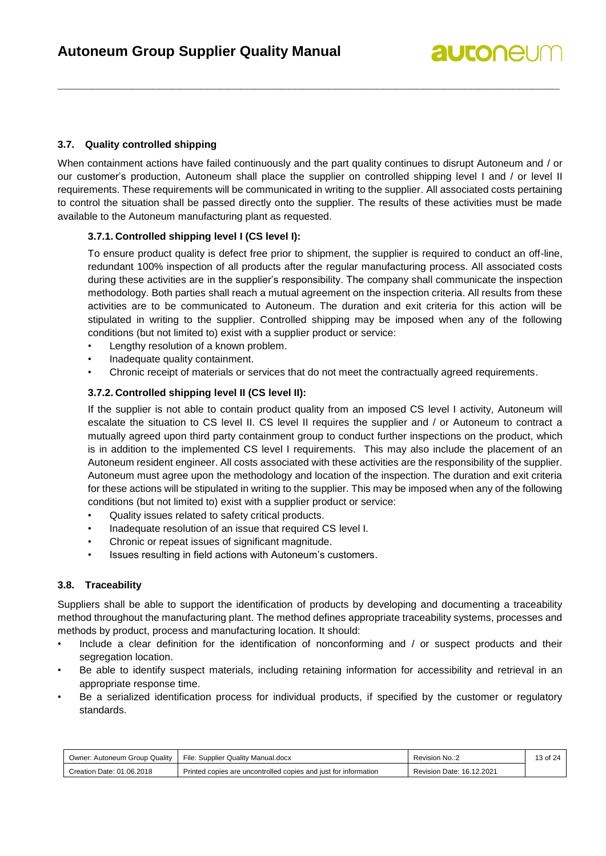#### <span id="page-12-0"></span>**3.7. Quality controlled shipping**

When containment actions have failed continuously and the part quality continues to disrupt Autoneum and / or our customer's production, Autoneum shall place the supplier on controlled shipping level I and / or level II requirements. These requirements will be communicated in writing to the supplier. All associated costs pertaining to control the situation shall be passed directly onto the supplier. The results of these activities must be made available to the Autoneum manufacturing plant as requested.

**\_\_\_\_\_\_\_\_\_\_\_\_\_\_\_\_\_\_\_\_\_\_\_\_\_\_\_\_\_\_\_\_\_\_\_\_\_\_\_\_\_\_\_\_\_\_\_\_\_\_\_\_\_\_\_\_\_\_\_\_\_\_\_\_\_\_\_\_\_\_\_\_\_\_**

#### <span id="page-12-1"></span>**3.7.1. Controlled shipping level I (CS level I):**

To ensure product quality is defect free prior to shipment, the supplier is required to conduct an off-line, redundant 100% inspection of all products after the regular manufacturing process. All associated costs during these activities are in the supplier's responsibility. The company shall communicate the inspection methodology. Both parties shall reach a mutual agreement on the inspection criteria. All results from these activities are to be communicated to Autoneum. The duration and exit criteria for this action will be stipulated in writing to the supplier. Controlled shipping may be imposed when any of the following conditions (but not limited to) exist with a supplier product or service:

- Lengthy resolution of a known problem.
- Inadequate quality containment.
- Chronic receipt of materials or services that do not meet the contractually agreed requirements.

#### <span id="page-12-2"></span>**3.7.2. Controlled shipping level II (CS level II):**

If the supplier is not able to contain product quality from an imposed CS level I activity, Autoneum will escalate the situation to CS level II. CS level II requires the supplier and / or Autoneum to contract a mutually agreed upon third party containment group to conduct further inspections on the product, which is in addition to the implemented CS level I requirements. This may also include the placement of an Autoneum resident engineer. All costs associated with these activities are the responsibility of the supplier. Autoneum must agree upon the methodology and location of the inspection. The duration and exit criteria for these actions will be stipulated in writing to the supplier. This may be imposed when any of the following conditions (but not limited to) exist with a supplier product or service:

- Quality issues related to safety critical products.
- Inadequate resolution of an issue that required CS level I.
- Chronic or repeat issues of significant magnitude.
- Issues resulting in field actions with Autoneum's customers.

#### <span id="page-12-3"></span>**3.8. Traceability**

Suppliers shall be able to support the identification of products by developing and documenting a traceability method throughout the manufacturing plant. The method defines appropriate traceability systems, processes and methods by product, process and manufacturing location. It should:

- Include a clear definition for the identification of nonconforming and / or suspect products and their segregation location.
- Be able to identify suspect materials, including retaining information for accessibility and retrieval in an appropriate response time.
- Be a serialized identification process for individual products, if specified by the customer or regulatory standards.

| Owner: Autoneum Group Quality | File: Supplier Quality Manual.docx                              | Revision No.:2            | 13 of 24 |
|-------------------------------|-----------------------------------------------------------------|---------------------------|----------|
| Creation Date: 01.06.2018     | Printed copies are uncontrolled copies and just for information | Revision Date: 16.12.2021 |          |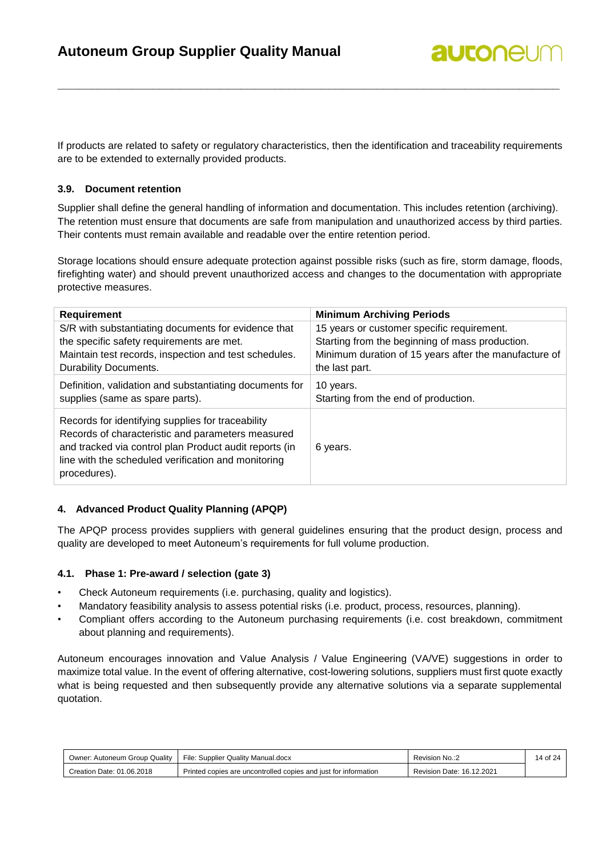If products are related to safety or regulatory characteristics, then the identification and traceability requirements are to be extended to externally provided products.

**\_\_\_\_\_\_\_\_\_\_\_\_\_\_\_\_\_\_\_\_\_\_\_\_\_\_\_\_\_\_\_\_\_\_\_\_\_\_\_\_\_\_\_\_\_\_\_\_\_\_\_\_\_\_\_\_\_\_\_\_\_\_\_\_\_\_\_\_\_\_\_\_\_\_**

**autonel** 

#### <span id="page-13-0"></span>**3.9. Document retention**

Supplier shall define the general handling of information and documentation. This includes retention (archiving). The retention must ensure that documents are safe from manipulation and unauthorized access by third parties. Their contents must remain available and readable over the entire retention period.

Storage locations should ensure adequate protection against possible risks (such as fire, storm damage, floods, firefighting water) and should prevent unauthorized access and changes to the documentation with appropriate protective measures.

| Requirement                                                                                                                                                                                                                             | <b>Minimum Archiving Periods</b>                      |
|-----------------------------------------------------------------------------------------------------------------------------------------------------------------------------------------------------------------------------------------|-------------------------------------------------------|
| S/R with substantiating documents for evidence that                                                                                                                                                                                     | 15 years or customer specific requirement.            |
| the specific safety requirements are met.                                                                                                                                                                                               | Starting from the beginning of mass production.       |
| Maintain test records, inspection and test schedules.                                                                                                                                                                                   | Minimum duration of 15 years after the manufacture of |
| Durability Documents.                                                                                                                                                                                                                   | the last part.                                        |
| Definition, validation and substantiating documents for                                                                                                                                                                                 | 10 years.                                             |
| supplies (same as spare parts).                                                                                                                                                                                                         | Starting from the end of production.                  |
| Records for identifying supplies for traceability<br>Records of characteristic and parameters measured<br>and tracked via control plan Product audit reports (in<br>line with the scheduled verification and monitoring<br>procedures). | 6 years.                                              |

#### <span id="page-13-1"></span>**4. Advanced Product Quality Planning (APQP)**

The APQP process provides suppliers with general guidelines ensuring that the product design, process and quality are developed to meet Autoneum's requirements for full volume production.

#### <span id="page-13-2"></span>**4.1. Phase 1: Pre-award / selection (gate 3)**

- Check Autoneum requirements (i.e. purchasing, quality and logistics).
- Mandatory feasibility analysis to assess potential risks (i.e. product, process, resources, planning).
- Compliant offers according to the Autoneum purchasing requirements (i.e. cost breakdown, commitment about planning and requirements).

Autoneum encourages innovation and Value Analysis / Value Engineering (VA/VE) suggestions in order to maximize total value. In the event of offering alternative, cost-lowering solutions, suppliers must first quote exactly what is being requested and then subsequently provide any alternative solutions via a separate supplemental quotation.

| Owner: Autoneum Group Quality | File: Supplier Quality Manual.docx                              | Revision No.:2            | 14 of 24 |
|-------------------------------|-----------------------------------------------------------------|---------------------------|----------|
| Creation Date: 01.06.2018     | Printed copies are uncontrolled copies and just for information | Revision Date: 16.12.2021 |          |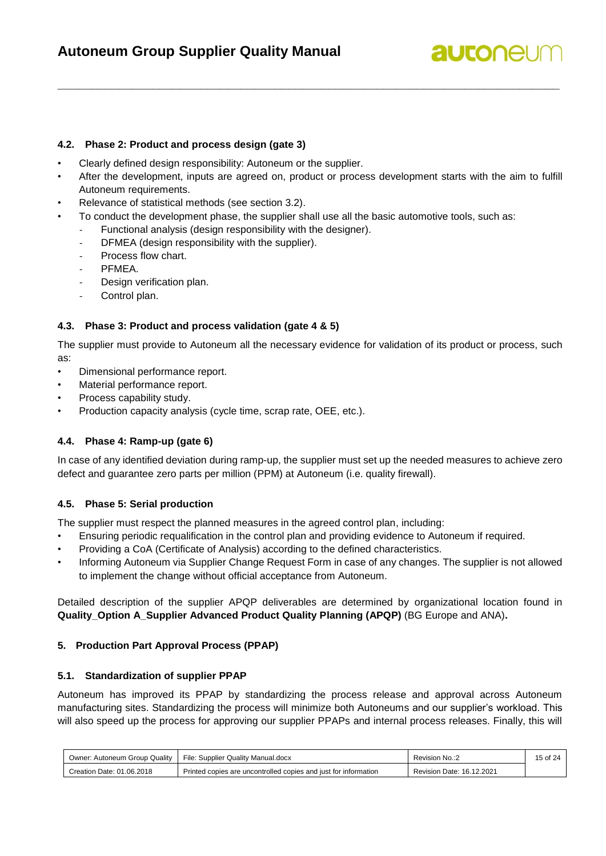## **autonel**

#### <span id="page-14-0"></span>**4.2. Phase 2: Product and process design (gate 3)**

- Clearly defined design responsibility: Autoneum or the supplier.
- After the development, inputs are agreed on, product or process development starts with the aim to fulfill Autoneum requirements.

**\_\_\_\_\_\_\_\_\_\_\_\_\_\_\_\_\_\_\_\_\_\_\_\_\_\_\_\_\_\_\_\_\_\_\_\_\_\_\_\_\_\_\_\_\_\_\_\_\_\_\_\_\_\_\_\_\_\_\_\_\_\_\_\_\_\_\_\_\_\_\_\_\_\_**

- Relevance of statistical methods (see section 3.2).
- To conduct the development phase, the supplier shall use all the basic automotive tools, such as:
	- Functional analysis (design responsibility with the designer).
	- DFMEA (design responsibility with the supplier).
	- Process flow chart.
	- PFMEA.
	- Design verification plan.
	- Control plan.

#### <span id="page-14-1"></span>**4.3. Phase 3: Product and process validation (gate 4 & 5)**

The supplier must provide to Autoneum all the necessary evidence for validation of its product or process, such as:

- Dimensional performance report.
- Material performance report.
- Process capability study.
- <span id="page-14-2"></span>• Production capacity analysis (cycle time, scrap rate, OEE, etc.).

#### **4.4. Phase 4: Ramp-up (gate 6)**

In case of any identified deviation during ramp-up, the supplier must set up the needed measures to achieve zero defect and guarantee zero parts per million (PPM) at Autoneum (i.e. quality firewall).

#### <span id="page-14-3"></span>**4.5. Phase 5: Serial production**

The supplier must respect the planned measures in the agreed control plan, including:

- Ensuring periodic requalification in the control plan and providing evidence to Autoneum if required.
- Providing a CoA (Certificate of Analysis) according to the defined characteristics.
- Informing Autoneum via Supplier Change Request Form in case of any changes. The supplier is not allowed to implement the change without official acceptance from Autoneum.

Detailed description of the supplier APQP deliverables are determined by organizational location found in **Quality\_Option A\_Supplier Advanced Product Quality Planning (APQP)** (BG Europe and ANA)**.**

### <span id="page-14-4"></span>**5. Production Part Approval Process (PPAP)**

#### <span id="page-14-5"></span>**5.1. Standardization of supplier PPAP**

Autoneum has improved its PPAP by standardizing the process release and approval across Autoneum manufacturing sites. Standardizing the process will minimize both Autoneums and our supplier's workload. This will also speed up the process for approving our supplier PPAPs and internal process releases. Finally, this will

| Owner: Autoneum Group Quality | File: Supplier Quality Manual.docx                              | Revision No.:2            | 15 of 24 |
|-------------------------------|-----------------------------------------------------------------|---------------------------|----------|
| Creation Date: 01.06.2018     | Printed copies are uncontrolled copies and just for information | Revision Date: 16.12.2021 |          |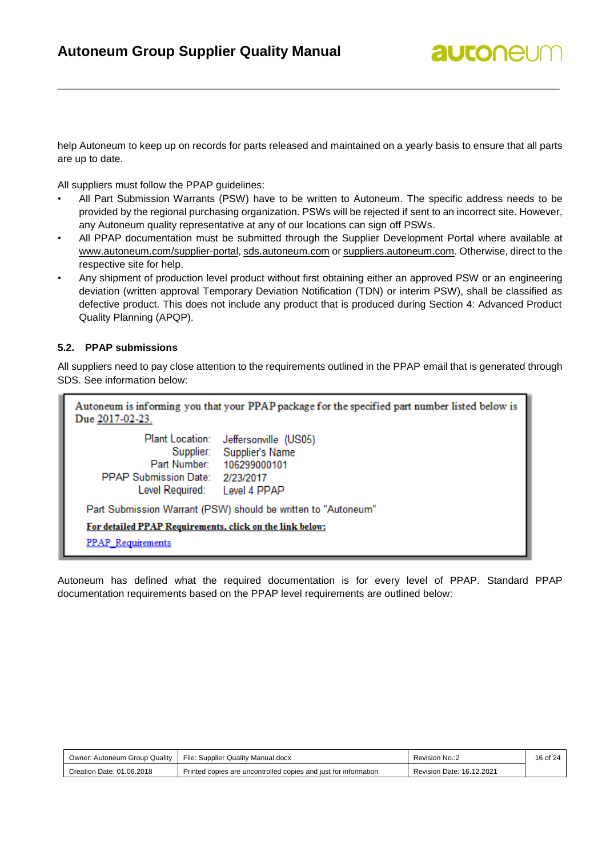help Autoneum to keep up on records for parts released and maintained on a yearly basis to ensure that all parts are up to date.

**\_\_\_\_\_\_\_\_\_\_\_\_\_\_\_\_\_\_\_\_\_\_\_\_\_\_\_\_\_\_\_\_\_\_\_\_\_\_\_\_\_\_\_\_\_\_\_\_\_\_\_\_\_\_\_\_\_\_\_\_\_\_\_\_\_\_\_\_\_\_\_\_\_\_**

All suppliers must follow the PPAP guidelines:

- All Part Submission Warrants (PSW) have to be written to Autoneum. The specific address needs to be provided by the regional purchasing organization. PSWs will be rejected if sent to an incorrect site. However, any Autoneum quality representative at any of our locations can sign off PSWs.
- All PPAP documentation must be submitted through the Supplier Development Portal where available at [www.autoneum.com/supplier-portal,](file://///odie/home/Winterthur/vbaumgar/www.autoneum.com/supplier-portal) [sds.autoneum.com](file://///odie/home/Winterthur/vbaumgar/sds.autoneum.com) o[r suppliers.autoneum.com.](file://///odie/home/Winterthur/vbaumgar/suppliers.autoneum.com) Otherwise, direct to the respective site for help.
- Any shipment of production level product without first obtaining either an approved PSW or an engineering deviation (written approval Temporary Deviation Notification (TDN) or interim PSW), shall be classified as defective product. This does not include any product that is produced during Section 4: Advanced Product Quality Planning (APQP).

#### <span id="page-15-0"></span>**5.2. PPAP submissions**

All suppliers need to pay close attention to the requirements outlined in the PPAP email that is generated through SDS. See information below:

| Due 2017-02-23.                                              | Autoneum is informing you that your PPAP package for the specified part number listed below is               |
|--------------------------------------------------------------|--------------------------------------------------------------------------------------------------------------|
| <b>PPAP Submission Date:</b><br>Level Required: Level 4 PPAP | Plant Location: Jeffersonville (US05)<br>Supplier: Supplier's Name<br>Part Number: 106299000101<br>2/23/2017 |
|                                                              | Part Submission Warrant (PSW) should be written to "Autoneum"                                                |
| For detailed PPAP Requirements, click on the link below:     |                                                                                                              |
| <b>PPAP</b> Requirements                                     |                                                                                                              |

Autoneum has defined what the required documentation is for every level of PPAP. Standard PPAP documentation requirements based on the PPAP level requirements are outlined below:

| Owner: Autoneum Group Quality | File: Supplier Quality Manual.docx                              | Revision No.:2            | 16 of 24 |
|-------------------------------|-----------------------------------------------------------------|---------------------------|----------|
| Creation Date: 01.06.2018     | Printed copies are uncontrolled copies and just for information | Revision Date: 16.12.2021 |          |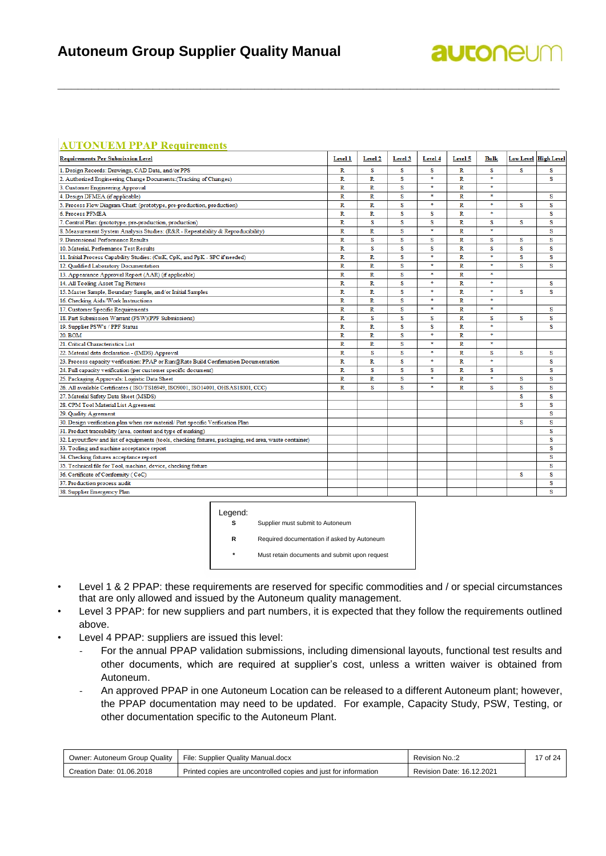### **Autoneum Group Supplier Quality Manual**

## **autonel**

#### **AUTONUEM PPAP Requirements**

| <b>Requirements Per Submission Level</b>                                                                | Level 1                 | Level <sub>2</sub> | Level 3 | Level 4       | Level 5 | Bulk   |   | <b>Low Level High Level</b> |
|---------------------------------------------------------------------------------------------------------|-------------------------|--------------------|---------|---------------|---------|--------|---|-----------------------------|
| 1. Design Records: Drawings, CAD Data, and/or PPS                                                       | R                       | s                  | s       | S             | R       | s      | s | s                           |
| 2. Authorized Engineering Change Documents: (Tracking of Changes)                                       | $\mathbb{R}$            | R                  | s       | $\ast$        | R       | $\ast$ |   | s                           |
| 3. Customer Engineering Approval                                                                        | R                       | R                  | s       | *             | R       | *      |   |                             |
| 4. Design DFMEA (if applicable)                                                                         | R                       | R                  | s       | $\ast$        | R       | $\ast$ |   | s                           |
| 5. Process Flow Diagram/Chart: (prototype, pre-production, production)                                  | R                       | R                  | s       | $\ast$        | R       | $\ast$ | s | s                           |
| 6. Process PFMEA                                                                                        | R                       | R                  | s       | S             | R       | $\ast$ |   | s                           |
| 7. Control Plan: (prototype, pre-production, production)                                                | R                       | s                  | S       | S             | R       | s      | s | s                           |
| 8. Measurement System Analysis Studies: (R&R - Repeatability & Reproducibility)                         | R                       | R                  | s       | $\frac{1}{2}$ | R       | $\ast$ |   | s                           |
| 9. Dimensional Performance Results                                                                      | $\mathbb{R}$            | s                  | s       | s             | R       | s      | s | s                           |
| 10. Material. Performance Test Results                                                                  | $\mathbb{R}$            | s                  | s       | S             | R       | s      | s | S                           |
| 11. Initial Process Capability Studies: (CmK, CpK, and PpK - SPC if needed)                             | $\mathbb{R}$            | R                  | S       | $\ast$        | R       | $\ast$ | s | s                           |
| 12. Qualified Laboratory Documentation                                                                  | $\overline{R}$          | Ŕ.                 | s       | $\ast$        | R       | $\ast$ | s | s                           |
| 13. Appearance Approval Report (AAR) (if applicable)                                                    | R                       | R                  | S       | $\ast$        | R       | $\ast$ |   |                             |
| 14. All Tooling Asset Tag Pictures                                                                      | $\mathbb{R}$            | R                  | s       | $\ast$        | R       | $\ast$ |   | s                           |
| 15. Master Sample, Boundary Sample, and/or Initial Samples                                              | $\mathbb{R}$            | R                  | s       | $\ast$        | R       | $\ast$ | s | S                           |
| 16. Checking Aids/Work Instructions                                                                     | $\mathbb{R}$            | R                  | s       | $\ast$        | R       | $\ast$ |   |                             |
| 17. Customer Specific Requirements                                                                      | R                       | R                  | S       | $\frac{1}{2}$ | R       | sk.    |   | S                           |
| 18. Part Submission Warrant (PSW)(PPF Submissions)                                                      | R                       | s                  | s       | S             | R       | s      | s | s                           |
| 19. Supplier PSW's / PPF Status                                                                         | $\overline{\mathbf{R}}$ | R                  | S       | S             | R       | $\ast$ |   | s                           |
| 20. BOM                                                                                                 | $\mathbb{R}$            | R                  | s       | $\ast$        | R       | $\ast$ |   |                             |
| 21. Critical Characteristics List                                                                       | $\mathbb{R}$            | R                  | S       | $\ast$        | R       | $\ast$ |   |                             |
| 22. Material data declaration - (IMDS) Approval                                                         | R                       | s                  | s       | $\frac{1}{2}$ | R       | s      | s | s                           |
| 23. Process capacity verification: PPAP or Run@Rate Build Confirmation Documentation                    | $\mathbb{R}$            | R.                 | s       | $\ast$        | R       | $\ast$ |   | S                           |
| 24. Full capacity verification (per customer specific document)                                         | R                       | s                  | s       | S             | R       | s      |   | S                           |
| 25. Packaging Approvals: Logistic Data Sheet                                                            | $\mathbb{R}$            | R                  | s       | $\ast$        | R       | $\ast$ | s | s                           |
| 26. All available Certificates (ISO/TS16949, ISO9001, ISO14001, OHSAS18001, CCC)                        | R                       | s                  | s       | $\ast$        | R       | s      | s | S                           |
| 27. Material Safety Data Sheet (MSDS)                                                                   |                         |                    |         |               |         |        | s | S                           |
| 28. CPM Tool Material List Agreement                                                                    |                         |                    |         |               |         |        | s | s                           |
| 29. Quality Agreement                                                                                   |                         |                    |         |               |         |        |   | S                           |
| 30. Design verification plan when raw material/ Part specific Verification Plan                         |                         |                    |         |               |         |        | s | s                           |
| 31. Product traceability (area, content and type of marking)                                            |                         |                    |         |               |         |        |   | S                           |
| 32. Layout:flow and list of equipments (tools, checking fixtures, packaging, red area, waste container) |                         |                    |         |               |         |        |   | s                           |
| 33. Tooling and machine acceptance report                                                               |                         |                    |         |               |         |        |   | S                           |
| 34. Checking fixtures acceptance report                                                                 |                         |                    |         |               |         |        |   | S                           |
| 35. Technical file for Tool, machine, device, checking fixture                                          |                         |                    |         |               |         |        |   | s                           |
| 36. Certificate of Conformity (CoC)                                                                     |                         |                    |         |               |         |        | s | S                           |
| 37. Production process audit                                                                            |                         |                    |         |               |         |        |   | s                           |
| 38. Supplier Emergency Plan                                                                             |                         |                    |         |               |         |        |   | s                           |

**\_\_\_\_\_\_\_\_\_\_\_\_\_\_\_\_\_\_\_\_\_\_\_\_\_\_\_\_\_\_\_\_\_\_\_\_\_\_\_\_\_\_\_\_\_\_\_\_\_\_\_\_\_\_\_\_\_\_\_\_\_\_\_\_\_\_\_\_\_\_\_\_\_\_**

#### Legend:

**S** Supplier must submit to Autoneum **R** Required documentation if asked by Autoneum

**\*** Must retain documents and submit upon request

- 
- Level 1 & 2 PPAP: these requirements are reserved for specific commodities and / or special circumstances that are only allowed and issued by the Autoneum quality management.
- Level 3 PPAP: for new suppliers and part numbers, it is expected that they follow the requirements outlined above.
- Level 4 PPAP: suppliers are issued this level:
	- For the annual PPAP validation submissions, including dimensional layouts, functional test results and other documents, which are required at supplier's cost, unless a written waiver is obtained from Autoneum.
	- An approved PPAP in one Autoneum Location can be released to a different Autoneum plant; however, the PPAP documentation may need to be updated. For example, Capacity Study, PSW, Testing, or other documentation specific to the Autoneum Plant.

| : Autoneum Group Quality<br>Owner: | File: Supplier Quality Manual.docx                              | Revision No.:2            | of 24 |
|------------------------------------|-----------------------------------------------------------------|---------------------------|-------|
| Creation Date: 01.06.2018          | Printed copies are uncontrolled copies and just for information | Revision Date: 16.12.2021 |       |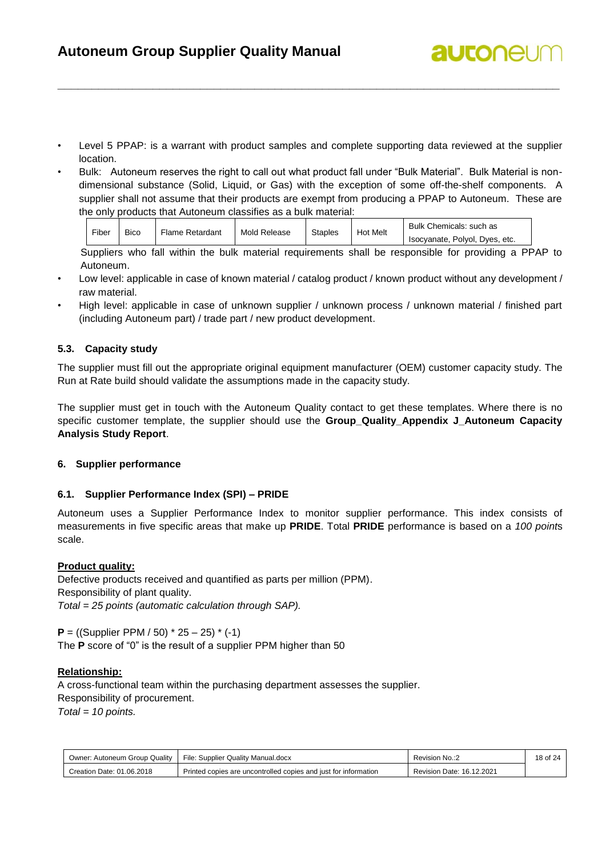Level 5 PPAP: is a warrant with product samples and complete supporting data reviewed at the supplier location.

**\_\_\_\_\_\_\_\_\_\_\_\_\_\_\_\_\_\_\_\_\_\_\_\_\_\_\_\_\_\_\_\_\_\_\_\_\_\_\_\_\_\_\_\_\_\_\_\_\_\_\_\_\_\_\_\_\_\_\_\_\_\_\_\_\_\_\_\_\_\_\_\_\_\_**

**autonel** 

• Bulk: Autoneum reserves the right to call out what product fall under "Bulk Material". Bulk Material is nondimensional substance (Solid, Liquid, or Gas) with the exception of some off-the-shelf components. A supplier shall not assume that their products are exempt from producing a PPAP to Autoneum. These are the only products that Autoneum classifies as a bulk material:

| Fiber | <b>Bico</b> | <b>Flame Retardant</b> | Mold Release | <b>Staples</b> | <b>Hot Melt</b> | Bulk Chemicals: such as        |
|-------|-------------|------------------------|--------------|----------------|-----------------|--------------------------------|
|       |             |                        |              |                |                 | Isocvanate. Polvol. Dves. etc. |

Suppliers who fall within the bulk material requirements shall be responsible for providing a PPAP to Autoneum.

- Low level: applicable in case of known material / catalog product / known product without any development / raw material.
- High level: applicable in case of unknown supplier / unknown process / unknown material / finished part (including Autoneum part) / trade part / new product development.

#### <span id="page-17-0"></span>**5.3. Capacity study**

The supplier must fill out the appropriate original equipment manufacturer (OEM) customer capacity study. The Run at Rate build should validate the assumptions made in the capacity study.

The supplier must get in touch with the Autoneum Quality contact to get these templates. Where there is no specific customer template, the supplier should use the **Group\_Quality\_Appendix J\_Autoneum Capacity Analysis Study Report**.

#### <span id="page-17-1"></span>**6. Supplier performance**

#### <span id="page-17-2"></span>**6.1. Supplier Performance Index (SPI) – PRIDE**

Autoneum uses a Supplier Performance Index to monitor supplier performance. This index consists of measurements in five specific areas that make up **PRIDE**. Total **PRIDE** performance is based on a *100 point*s scale.

#### **Product quality:**

Defective products received and quantified as parts per million (PPM). Responsibility of plant quality. *Total = 25 points (automatic calculation through SAP).*

**P** = ((Supplier PPM / 50) \* 25 – 25) \* (-1) The **P** score of "0" is the result of a supplier PPM higher than 50

#### **Relationship:**

A cross-functional team within the purchasing department assesses the supplier. Responsibility of procurement.

*Total = 10 points.*

| Owner: Autoneum Group Quality | File: Supplier Quality Manual.docx                              | Revision No.:2            | 18 of 24 |
|-------------------------------|-----------------------------------------------------------------|---------------------------|----------|
| Creation Date: 01.06.2018     | Printed copies are uncontrolled copies and just for information | Revision Date: 16.12.2021 |          |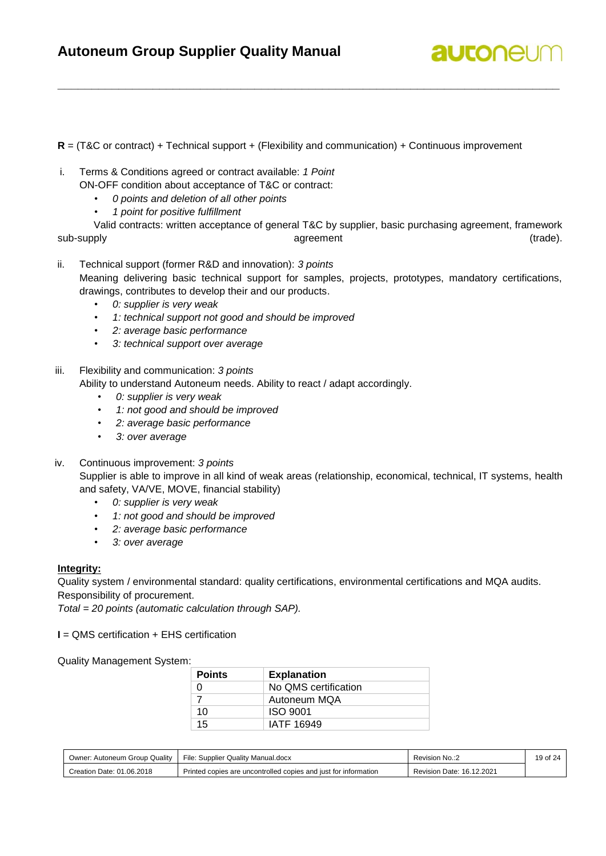

**R** = (T&C or contract) + Technical support + (Flexibility and communication) + Continuous improvement

**\_\_\_\_\_\_\_\_\_\_\_\_\_\_\_\_\_\_\_\_\_\_\_\_\_\_\_\_\_\_\_\_\_\_\_\_\_\_\_\_\_\_\_\_\_\_\_\_\_\_\_\_\_\_\_\_\_\_\_\_\_\_\_\_\_\_\_\_\_\_\_\_\_\_**

i. Terms & Conditions agreed or contract available: *1 Point*

ON-OFF condition about acceptance of T&C or contract:

- *0 points and deletion of all other points*
- *1 point for positive fulfillment*

Valid contracts: written acceptance of general T&C by supplier, basic purchasing agreement, framework sub-supply agreement (trade).

ii. Technical support (former R&D and innovation): *3 points* Meaning delivering basic technical support for samples, projects, prototypes, mandatory certifications, drawings, contributes to develop their and our products.

- *0: supplier is very weak*
- *1: technical support not good and should be improved*
- *2: average basic performance*
- *3: technical support over average*

#### iii. Flexibility and communication: *3 points*

Ability to understand Autoneum needs. Ability to react / adapt accordingly.

- *0: supplier is very weak*
- *1: not good and should be improved*
- *2: average basic performance*
- *3: over average*

#### iv. Continuous improvement: *3 points*

Supplier is able to improve in all kind of weak areas (relationship, economical, technical, IT systems, health and safety, VA/VE, MOVE, financial stability)

- *0: supplier is very weak*
- *1: not good and should be improved*
- *2: average basic performance*
- *3: over average*

#### **Integrity:**

Quality system / environmental standard: quality certifications, environmental certifications and MQA audits. Responsibility of procurement.

*Total = 20 points (automatic calculation through SAP).*

**I** = QMS certification + EHS certification

#### Quality Management System:

| <b>Points</b> | <b>Explanation</b>   |
|---------------|----------------------|
|               | No QMS certification |
|               | Autoneum MQA         |
| 10            | <b>ISO 9001</b>      |
| 15            | IATF 16949           |

| Owner: Autoneum Group Quality | File: Supplier Quality Manual.docx                              | Revision No.:2            | 19 of 24 |
|-------------------------------|-----------------------------------------------------------------|---------------------------|----------|
| Creation Date: 01.06.2018     | Printed copies are uncontrolled copies and just for information | Revision Date: 16.12.2021 |          |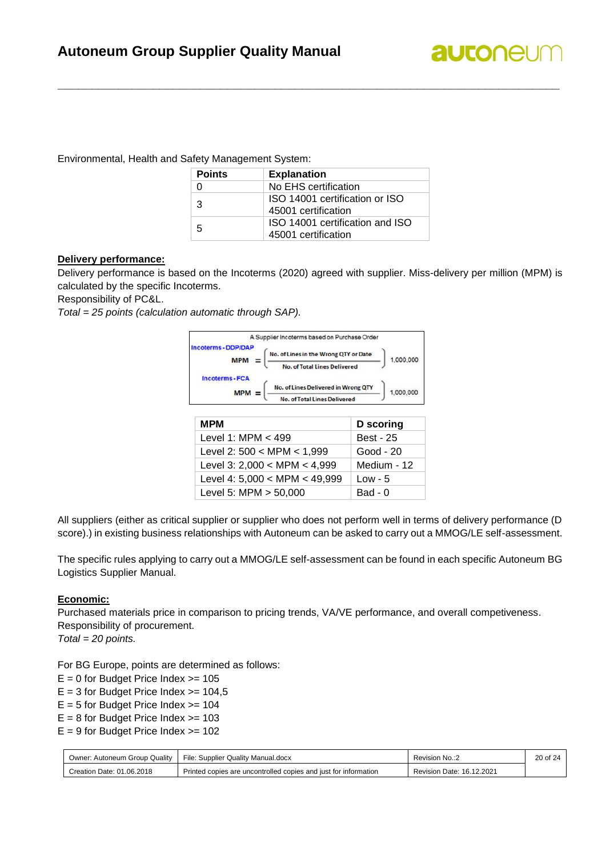

Environmental, Health and Safety Management System:

| <b>Points</b> | <b>Explanation</b>                                     |
|---------------|--------------------------------------------------------|
|               | No EHS certification                                   |
| 3             | ISO 14001 certification or ISO<br>45001 certification  |
| 5             | ISO 14001 certification and ISO<br>45001 certification |

**\_\_\_\_\_\_\_\_\_\_\_\_\_\_\_\_\_\_\_\_\_\_\_\_\_\_\_\_\_\_\_\_\_\_\_\_\_\_\_\_\_\_\_\_\_\_\_\_\_\_\_\_\_\_\_\_\_\_\_\_\_\_\_\_\_\_\_\_\_\_\_\_\_\_**

#### **Delivery performance:**

Delivery performance is based on the Incoterms (2020) agreed with supplier. Miss-delivery per million (MPM) is calculated by the specific Incoterms.

Responsibility of PC&L.

*Total = 25 points (calculation automatic through SAP).*



| <b>MPM</b>                      | <b>D</b> scoring |
|---------------------------------|------------------|
| Level 1: MPM $<$ 499            | <b>Best - 25</b> |
| Level 2: $500 < MPM < 1,999$    | Good - 20        |
| Level 3: $2,000 < MPM < 4,999$  | Medium - 12      |
| Level 4: $5,000 < MPM < 49,999$ | $Low - 5$        |
| Level 5: MPM $>$ 50,000         | $Bad - 0$        |

All suppliers (either as critical supplier or supplier who does not perform well in terms of delivery performance (D score).) in existing business relationships with Autoneum can be asked to carry out a MMOG/LE self-assessment.

The specific rules applying to carry out a MMOG/LE self-assessment can be found in each specific Autoneum BG Logistics Supplier Manual.

#### **Economic:**

Purchased materials price in comparison to pricing trends, VA/VE performance, and overall competiveness. Responsibility of procurement.

*Total = 20 points.*

For BG Europe, points are determined as follows:

- $E = 0$  for Budget Price Index  $>= 105$
- $E = 3$  for Budget Price Index  $>= 104.5$
- $E = 5$  for Budget Price Index  $>= 104$

 $E = 8$  for Budget Price Index  $\geq$  103

 $E = 9$  for Budget Price Index  $>= 102$ 

| Owner: Autoneum Group Quality | File: Supplier Quality Manual.docx                              | Revision No.:2                 | 20 of 24 |
|-------------------------------|-----------------------------------------------------------------|--------------------------------|----------|
| Creation Date: 01.06.2018     | Printed copies are uncontrolled copies and just for information | i Date: 16.12.2021<br>Revision |          |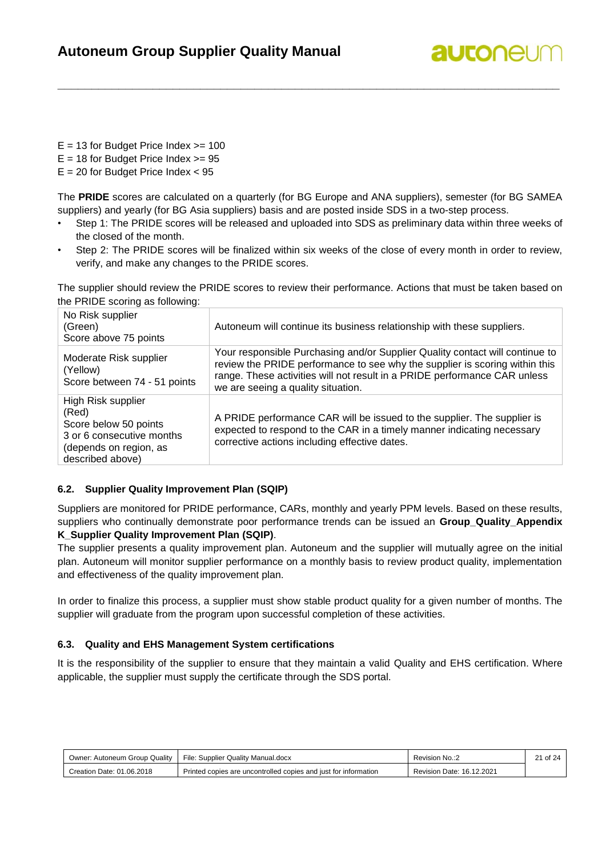## **autonel**

 $E = 13$  for Budget Price Index  $>= 100$ 

 $E = 18$  for Budget Price Index  $>= 95$ 

 $E = 20$  for Budget Price Index  $< 95$ 

The **PRIDE** scores are calculated on a quarterly (for BG Europe and ANA suppliers), semester (for BG SAMEA suppliers) and yearly (for BG Asia suppliers) basis and are posted inside SDS in a two-step process.

**\_\_\_\_\_\_\_\_\_\_\_\_\_\_\_\_\_\_\_\_\_\_\_\_\_\_\_\_\_\_\_\_\_\_\_\_\_\_\_\_\_\_\_\_\_\_\_\_\_\_\_\_\_\_\_\_\_\_\_\_\_\_\_\_\_\_\_\_\_\_\_\_\_\_**

- Step 1: The PRIDE scores will be released and uploaded into SDS as preliminary data within three weeks of the closed of the month.
- Step 2: The PRIDE scores will be finalized within six weeks of the close of every month in order to review, verify, and make any changes to the PRIDE scores.

The supplier should review the PRIDE scores to review their performance. Actions that must be taken based on the PRIDE scoring as following:

| No Risk supplier<br>(Green)<br>Score above 75 points                                                                            | Autoneum will continue its business relationship with these suppliers.                                                                                                                                                                                                         |
|---------------------------------------------------------------------------------------------------------------------------------|--------------------------------------------------------------------------------------------------------------------------------------------------------------------------------------------------------------------------------------------------------------------------------|
| Moderate Risk supplier<br>(Yellow)<br>Score between 74 - 51 points                                                              | Your responsible Purchasing and/or Supplier Quality contact will continue to<br>review the PRIDE performance to see why the supplier is scoring within this<br>range. These activities will not result in a PRIDE performance CAR unless<br>we are seeing a quality situation. |
| High Risk supplier<br>(Red)<br>Score below 50 points<br>3 or 6 consecutive months<br>(depends on region, as<br>described above) | A PRIDE performance CAR will be issued to the supplier. The supplier is<br>expected to respond to the CAR in a timely manner indicating necessary<br>corrective actions including effective dates.                                                                             |

#### <span id="page-20-0"></span>**6.2. Supplier Quality Improvement Plan (SQIP)**

Suppliers are monitored for PRIDE performance, CARs, monthly and yearly PPM levels. Based on these results, suppliers who continually demonstrate poor performance trends can be issued an **Group\_Quality\_Appendix K\_Supplier Quality Improvement Plan (SQIP)**.

The supplier presents a quality improvement plan. Autoneum and the supplier will mutually agree on the initial plan. Autoneum will monitor supplier performance on a monthly basis to review product quality, implementation and effectiveness of the quality improvement plan.

In order to finalize this process, a supplier must show stable product quality for a given number of months. The supplier will graduate from the program upon successful completion of these activities.

#### <span id="page-20-1"></span>**6.3. Quality and EHS Management System certifications**

It is the responsibility of the supplier to ensure that they maintain a valid Quality and EHS certification. Where applicable, the supplier must supply the certificate through the SDS portal.

| Owner: Autoneum Group Quality | File: Supplier Quality Manual.docx                              | Revision No.:2            | 21 of 24 |
|-------------------------------|-----------------------------------------------------------------|---------------------------|----------|
| Creation Date: 01.06.2018     | Printed copies are uncontrolled copies and just for information | Revision Date: 16.12.2021 |          |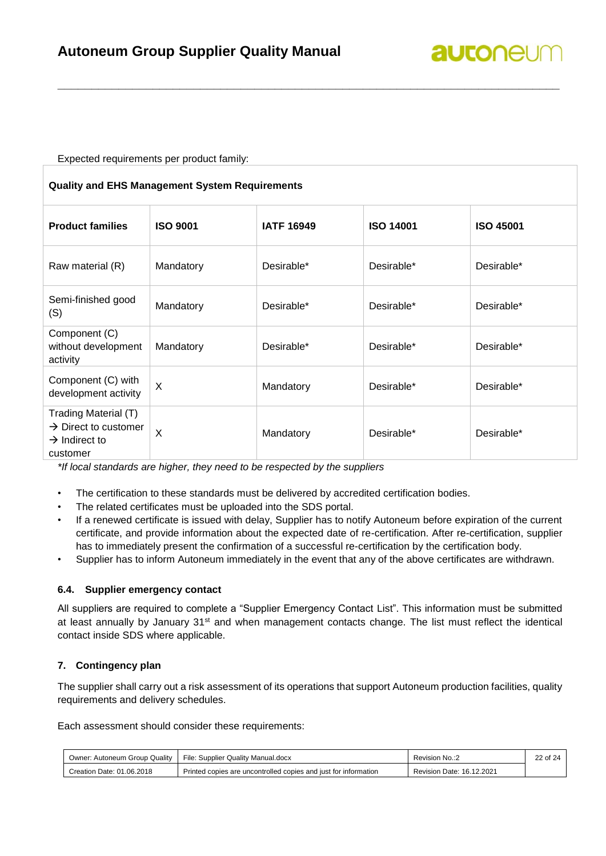Expected requirements per product family:

| <b>Quality and EHS Management System Requirements</b>                                             |                 |                   |                  |                  |  |
|---------------------------------------------------------------------------------------------------|-----------------|-------------------|------------------|------------------|--|
| <b>Product families</b>                                                                           | <b>ISO 9001</b> | <b>IATF 16949</b> | <b>ISO 14001</b> | <b>ISO 45001</b> |  |
| Raw material (R)                                                                                  | Mandatory       | Desirable*        | Desirable*       | Desirable*       |  |
| Semi-finished good<br>(S)                                                                         | Mandatory       | Desirable*        | Desirable*       | Desirable*       |  |
| Component (C)<br>without development<br>activity                                                  | Mandatory       | Desirable*        | Desirable*       | Desirable*       |  |
| Component (C) with<br>development activity                                                        | X               | Mandatory         | Desirable*       | Desirable*       |  |
| Trading Material (T)<br>$\rightarrow$ Direct to customer<br>$\rightarrow$ Indirect to<br>customer | $\times$        | Mandatory         | Desirable*       | Desirable*       |  |

**\_\_\_\_\_\_\_\_\_\_\_\_\_\_\_\_\_\_\_\_\_\_\_\_\_\_\_\_\_\_\_\_\_\_\_\_\_\_\_\_\_\_\_\_\_\_\_\_\_\_\_\_\_\_\_\_\_\_\_\_\_\_\_\_\_\_\_\_\_\_\_\_\_\_**

*\*If local standards are higher, they need to be respected by the suppliers*

- The certification to these standards must be delivered by accredited certification bodies.
- The related certificates must be uploaded into the SDS portal.
- If a renewed certificate is issued with delay, Supplier has to notify Autoneum before expiration of the current certificate, and provide information about the expected date of re-certification. After re-certification, supplier has to immediately present the confirmation of a successful re-certification by the certification body.
- <span id="page-21-0"></span>• Supplier has to inform Autoneum immediately in the event that any of the above certificates are withdrawn.

#### **6.4. Supplier emergency contact**

All suppliers are required to complete a "Supplier Emergency Contact List". This information must be submitted at least annually by January 31<sup>st</sup> and when management contacts change. The list must reflect the identical contact inside SDS where applicable.

#### <span id="page-21-1"></span>**7. Contingency plan**

The supplier shall carry out a risk assessment of its operations that support Autoneum production facilities, quality requirements and delivery schedules.

Each assessment should consider these requirements:

| Owner: Autoneum Group Quality | File: Supplier Quality Manual.docx                              | Revision No.:2            | $\sim$<br>$\angle$ 2 of $\degree$ |
|-------------------------------|-----------------------------------------------------------------|---------------------------|-----------------------------------|
| Creation Date: 01.06.2018     | Printed copies are uncontrolled copies and just for information | Revision Date: 16.12.2021 |                                   |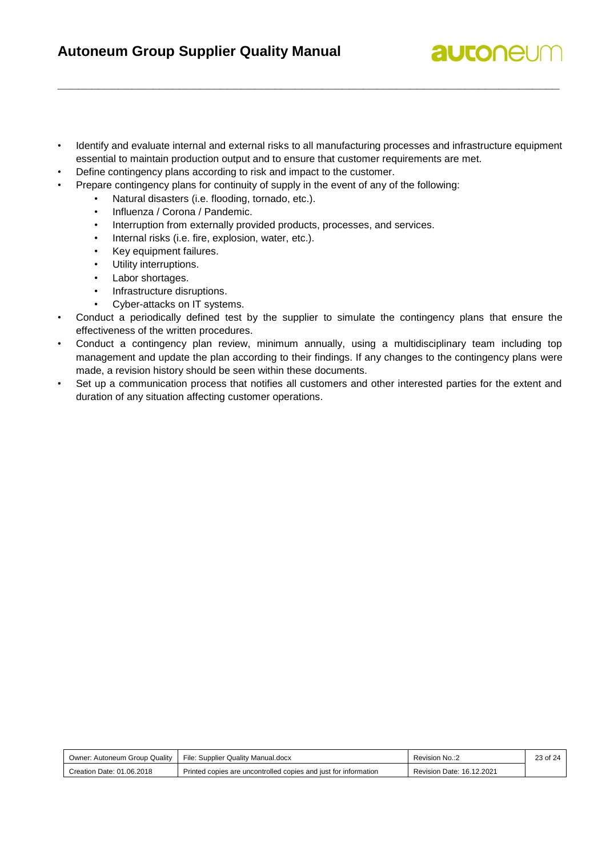• Identify and evaluate internal and external risks to all manufacturing processes and infrastructure equipment essential to maintain production output and to ensure that customer requirements are met.

**\_\_\_\_\_\_\_\_\_\_\_\_\_\_\_\_\_\_\_\_\_\_\_\_\_\_\_\_\_\_\_\_\_\_\_\_\_\_\_\_\_\_\_\_\_\_\_\_\_\_\_\_\_\_\_\_\_\_\_\_\_\_\_\_\_\_\_\_\_\_\_\_\_\_**

**autonel** 

- Define contingency plans according to risk and impact to the customer.
- Prepare contingency plans for continuity of supply in the event of any of the following:
	- Natural disasters (i.e. flooding, tornado, etc.).
	- Influenza / Corona / Pandemic.
	- Interruption from externally provided products, processes, and services.
	- Internal risks (i.e. fire, explosion, water, etc.).
	- Key equipment failures.
	- Utility interruptions.
	- Labor shortages.
	- Infrastructure disruptions.
	- Cyber-attacks on IT systems.
- Conduct a periodically defined test by the supplier to simulate the contingency plans that ensure the effectiveness of the written procedures.
- Conduct a contingency plan review, minimum annually, using a multidisciplinary team including top management and update the plan according to their findings. If any changes to the contingency plans were made, a revision history should be seen within these documents.
- Set up a communication process that notifies all customers and other interested parties for the extent and duration of any situation affecting customer operations.

| Owner: Autoneum Group Quality | File: Supplier Quality Manual.docx                              | Revision No.:2            | 23 of 24 |
|-------------------------------|-----------------------------------------------------------------|---------------------------|----------|
| Creation Date: 01.06.2018     | Printed copies are uncontrolled copies and just for information | Revision Date: 16.12.2021 |          |